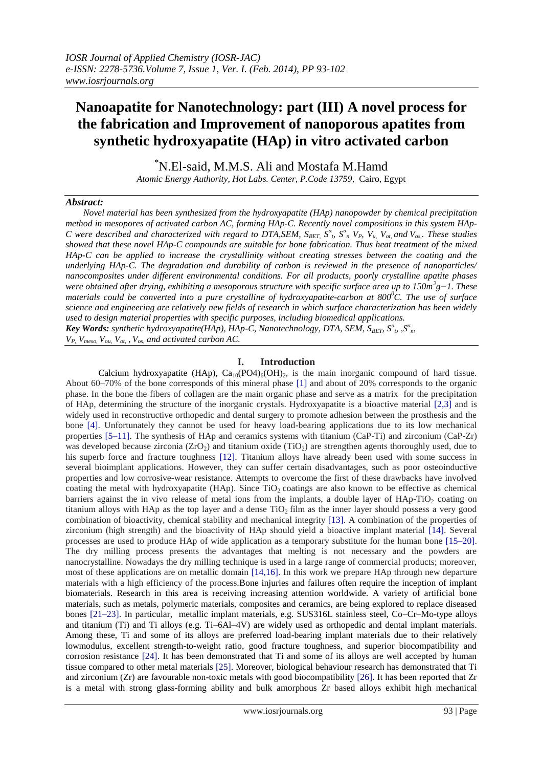# **Nanoapatite for Nanotechnology: part (III) A novel process for the fabrication and Improvement of nanoporous apatites from synthetic hydroxyapatite (HAp) in vitro activated carbon**

\*N.El-said, M.M.S. Ali and Mostafa M.Hamd

*Atomic Energy Authority, Hot Labs. Center, P.Code 13759,* Cairo, Egypt

#### *Abstract:*

 *Novel material has been synthesized from the hydroxyapatite (HAp) nanopowder by chemical precipitation method in mesopores of activated carbon AC, forming HAp-C. Recently novel compositions in this system HAp-*C were described and characterized with regard to DTA, SEM,  $S_{BET}$ ,  $S^a$ ,  $S^a$ ,  $V_P$ ,  $V_u$ ,  $V_{ot}$ , and  $V_{os}$ . These studies *showed that these novel HAp-C compounds are suitable for bone fabrication. Thus heat treatment of the mixed HAp-C can be applied to increase the crystallinity without creating stresses between the coating and the underlying HAp-C. The degradation and durability of carbon is reviewed in the presence of nanoparticles/ nanocomposites under different environmental conditions. For all products, poorly crystalline apatite phases were obtained after drying, exhibiting a mesoporous structure with specific surface area up to 150m<sup>2</sup> g−1. These materials could be converted into a pure crystalline of hydroxyapatite-carbon at 800<sup>0</sup>C. The use of surface science and engineering are relatively new fields of research in which surface characterization has been widely used to design material properties with specific purposes, including biomedical applications. Key Words: synthetic hydroxyapatite(HAp), HAp-C, Nanotechnology, DTA, SEM, S<sub>BET</sub>, S<sup><i>α*</sup><sub>*t*</sub>, S<sup>*α*</sup><sub>*n*</sub>  $V_P$ ,  $V_{meso}$ ,  $V_{ou}$ ,  $V_{ot}$ ,  $V_{os}$ , and activated carbon AC.

## **I. Introduction**

Calcium hydroxyapatite (HAp),  $Ca_{10}(PO4)_6(OH)_2$ , is the main inorganic compound of hard tissue. About 60–70% of the bone corresponds of this mineral phase [1] and about of 20% corresponds to the organic phase. In the bone the fibers of collagen are the main organic phase and serve as a matrix for the precipitation of HAp, determining the structure of the inorganic crystals. Hydroxyapatite is a bioactive material [2,3] and is widely used in reconstructive orthopedic and dental surgery to promote adhesion between the prosthesis and the bone [4]. Unfortunately they cannot be used for heavy load-bearing applications due to its low mechanical properties [5–11]. The synthesis of HAp and ceramics systems with titanium (CaP-Ti) and zirconium (CaP-Zr) was developed because zirconia ( $ZrO<sub>2</sub>$ ) and titanium oxide (TiO<sub>2</sub>) are strengthen agents thoroughly used, due to his superb force and fracture toughness [12]. Titanium alloys have already been used with some success in several bioimplant applications. However, they can suffer certain disadvantages, such as poor osteoinductive properties and low corrosive-wear resistance. Attempts to overcome the first of these drawbacks have involved coating the metal with hydroxyapatite (HAp). Since  $TiO<sub>2</sub>$  coatings are also known to be effective as chemical barriers against the in vivo release of metal ions from the implants, a double layer of  $HAp-TiO<sub>2</sub>$  coating on titanium alloys with HAp as the top layer and a dense  $TiO<sub>2</sub>$  film as the inner layer should possess a very good combination of bioactivity, chemical stability and mechanical integrity [13]. A combination of the properties of zirconium (high strength) and the bioactivity of HAp should yield a bioactive implant material [14]. Several processes are used to produce HAp of wide application as a temporary substitute for the human bone [15–20]. The dry milling process presents the advantages that melting is not necessary and the powders are nanocrystalline. Nowadays the dry milling technique is used in a large range of commercial products; moreover, most of these applications are on metallic domain [14,16]. In this work we prepare HAp through new departure materials with a high efficiency of the process.Bone injuries and failures often require the inception of implant biomaterials. Research in this area is receiving increasing attention worldwide. A variety of artificial bone materials, such as metals, polymeric materials, composites and ceramics, are being explored to replace diseased bones [21–23]. In particular, metallic implant materials, e.g. SUS316L stainless steel, Co–Cr–Mo-type alloys and titanium (Ti) and Ti alloys (e.g. Ti–6Al–4V) are widely used as orthopedic and dental implant materials. Among these, Ti and some of its alloys are preferred load-bearing implant materials due to their relatively lowmodulus, excellent strength-to-weight ratio, good fracture toughness, and superior biocompatibility and corrosion resistance [24]. It has been demonstrated that Ti and some of its alloys are well accepted by human tissue compared to other metal materials [25]. Moreover, biological behaviour research has demonstrated that Ti and zirconium (Zr) are favourable non-toxic metals with good biocompatibility [26]. It has been reported that Zr is a metal with strong glass-forming ability and bulk amorphous Zr based alloys exhibit high mechanical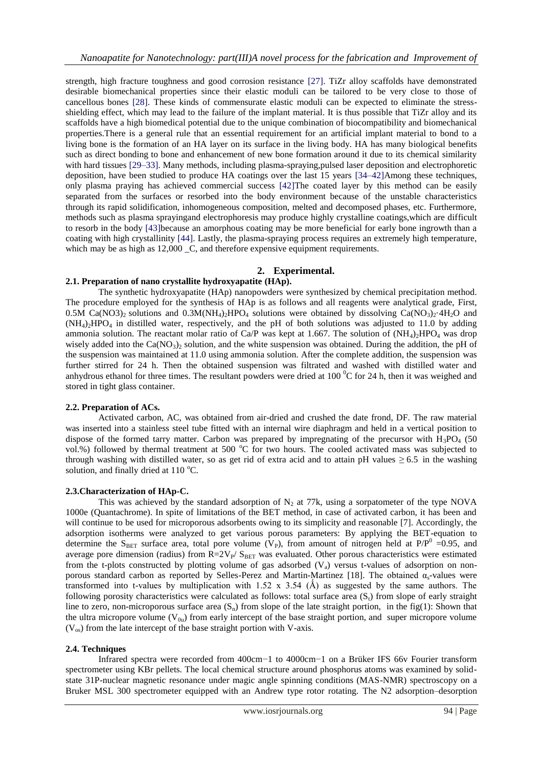strength, high fracture toughness and good corrosion resistance [27]. TiZr alloy scaffolds have demonstrated desirable biomechanical properties since their elastic moduli can be tailored to be very close to those of cancellous bones [28]. These kinds of commensurate elastic moduli can be expected to eliminate the stressshielding effect, which may lead to the failure of the implant material. It is thus possible that TiZr alloy and its scaffolds have a high biomedical potential due to the unique combination of biocompatibility and biomechanical properties.There is a general rule that an essential requirement for an artificial implant material to bond to a living bone is the formation of an HA layer on its surface in the living body. HA has many biological benefits such as direct bonding to bone and enhancement of new bone formation around it due to its chemical similarity with hard tissues [29–33]. Many methods, including plasma-spraying,pulsed laser deposition and electrophoretic deposition, have been studied to produce HA coatings over the last 15 years [34–42]Among these techniques, only plasma praying has achieved commercial success [42]The coated layer by this method can be easily separated from the surfaces or resorbed into the body environment because of the unstable characteristics through its rapid solidification, inhomogeneous composition, melted and decomposed phases, etc. Furthermore, methods such as plasma sprayingand electrophoresis may produce highly crystalline coatings,which are difficult to resorb in the body [43]because an amorphous coating may be more beneficial for early bone ingrowth than a coating with high crystallinity [44]. Lastly, the plasma-spraying process requires an extremely high temperature, which may be as high as  $12,000$  \_C, and therefore expensive equipment requirements.

#### **2. Experimental.**

## **2.1. Preparation of nano crystallite hydroxyapatite (HAp).**

The synthetic hydroxyapatite (HAp) nanopowders were synthesized by chemical precipitation method. The procedure employed for the synthesis of HAp is as follows and all reagents were analytical grade, First, 0.5M Ca(NO3)<sub>2</sub> solutions and 0.3M(NH<sub>4</sub>)<sub>2</sub>HPO<sub>4</sub> solutions were obtained by dissolving Ca(NO<sub>3</sub>)<sub>2</sub>·4H<sub>2</sub>O and (NH4)2HPO<sup>4</sup> in distilled water, respectively, and the pH of both solutions was adjusted to 11.0 by adding ammonia solution. The reactant molar ratio of Ca/P was kept at 1.667. The solution of  $(NH<sub>4</sub>)<sub>2</sub>HPO<sub>4</sub>$  was drop wisely added into the  $Ca(NO<sub>3</sub>)<sub>2</sub>$  solution, and the white suspension was obtained. During the addition, the pH of the suspension was maintained at 11.0 using ammonia solution. After the complete addition, the suspension was further stirred for 24 h. Then the obtained suspension was filtrated and washed with distilled water and anhydrous ethanol for three times. The resultant powders were dried at 100  $^{\circ}$ C for 24 h, then it was weighed and stored in tight glass container.

#### **2.2. Preparation of ACs.**

Activated carbon, AC, was obtained from air-dried and crushed the date frond, DF. The raw material was inserted into a stainless steel tube fitted with an internal wire diaphragm and held in a vertical position to dispose of the formed tarry matter. Carbon was prepared by impregnating of the precursor with  $H_3PO_4$  (50 vol.%) followed by thermal treatment at 500 °C for two hours. The cooled activated mass was subjected to through washing with distilled water, so as get rid of extra acid and to attain pH values  $\geq 6.5$  in the washing solution, and finally dried at  $110^{\circ}$ C.

#### **2.3.Characterization of HAp-C.**

This was achieved by the standard adsorption of  $N<sub>2</sub>$  at 77k, using a sorpatometer of the type NOVA 1000e (Quantachrome). In spite of limitations of the BET method, in case of activated carbon, it has been and will continue to be used for microporous adsorbents owing to its simplicity and reasonable [7]. Accordingly, the adsorption isotherms were analyzed to get various porous parameters: By applying the BET-equation to determine the S<sub>BET</sub> surface area, total pore volume ( $V_P$ ), from amount of nitrogen held at P/P<sup>0</sup> = 0.95, and average pore dimension (radius) from  $R=2V_{P}/S_{BET}$  was evaluated. Other porous characteristics were estimated from the t-plots constructed by plotting volume of gas adsorbed  $(V_a)$  versus t-values of adsorption on nonporous standard carbon as reported by Selles-Perez and Martin-Martinez [18]. The obtained  $\alpha_s$ -values were transformed into t-values by multiplication with  $1.52 \times 3.54$  (Å) as suggested by the same authors. The following porosity characteristics were calculated as follows: total surface area  $(S<sub>t</sub>)$  from slope of early straight line to zero, non-microporous surface area  $(S_n)$  from slope of the late straight portion, in the fig(1): Shown that the ultra micropore volume  $(V_{0u})$  from early intercept of the base straight portion, and super micropore volume  $(V_{\text{os}})$  from the late intercept of the base straight portion with V-axis.

#### **2.4. Techniques**

Infrared spectra were recorded from 400cm−1 to 4000cm−1 on a Brüker IFS 66v Fourier transform spectrometer using KBr pellets. The local chemical structure around phosphorus atoms was examined by solidstate 31P-nuclear magnetic resonance under magic angle spinning conditions (MAS-NMR) spectroscopy on a Bruker MSL 300 spectrometer equipped with an Andrew type rotor rotating. The N2 adsorption–desorption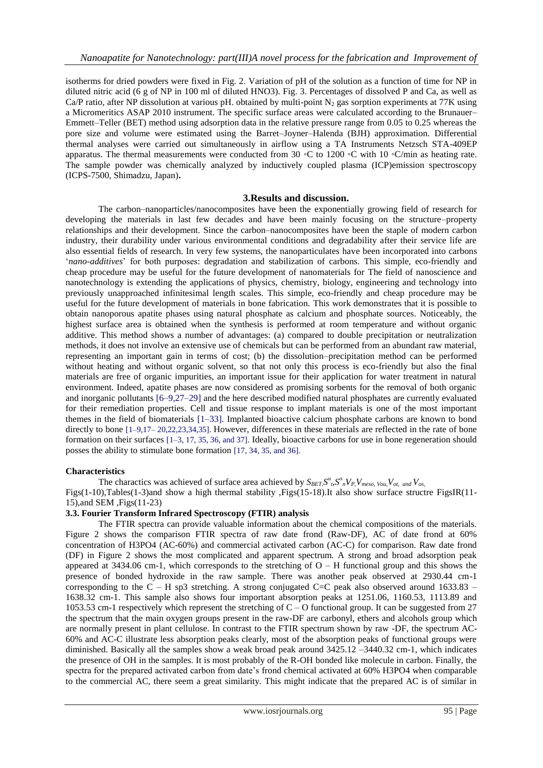isotherms for dried powders were fixed in Fig. 2. Variation of pH of the solution as a function of time for NP in diluted nitric acid (6 g of NP in 100 ml of diluted HNO3). Fig. 3. Percentages of dissolved P and Ca, as well as Ca/P ratio, after NP dissolution at various pH. obtained by multi-point  $N<sub>2</sub>$  gas sorption experiments at 77K using a Micromeritics ASAP 2010 instrument. The specific surface areas were calculated according to the Brunauer– Emmett–Teller (BET) method using adsorption data in the relative pressure range from 0.05 to 0.25 whereas the pore size and volume were estimated using the Barret–Joyner–Halenda (BJH) approximation. Differential thermal analyses were carried out simultaneously in airflow using a TA Instruments Netzsch STA-409EP apparatus. The thermal measurements were conducted from 30 ◦C to 1200 ◦C with 10 ◦C/min as heating rate. The sample powder was chemically analyzed by inductively coupled plasma (ICP)emission spectroscopy (ICPS-7500, Shimadzu, Japan)**.**

#### **3.Results and discussion.**

The carbon–nanoparticles/nanocomposites have been the exponentially growing field of research for developing the materials in last few decades and have been mainly focusing on the structure–property relationships and their development. Since the carbon–nanocomposites have been the staple of modern carbon industry, their durability under various environmental conditions and degradability after their service life are also essential fields of research. In very few systems, the nanoparticulates have been incorporated into carbons '*nano-additives*' for both purposes: degradation and stabilization of carbons. This simple, eco-friendly and cheap procedure may be useful for the future development of nanomaterials for The field of nanoscience and nanotechnology is extending the applications of physics, chemistry, biology, engineering and technology into previously unapproached infinitesimal length scales. This simple, eco-friendly and cheap procedure may be useful for the future development of materials in bone fabrication. This work demonstrates that it is possible to obtain nanoporous apatite phases using natural phosphate as calcium and phosphate sources. Noticeably, the highest surface area is obtained when the synthesis is performed at room temperature and without organic additive. This method shows a number of advantages: (a) compared to double precipitation or neutralization methods, it does not involve an extensive use of chemicals but can be performed from an abundant raw material, representing an important gain in terms of cost; (b) the dissolution–precipitation method can be performed without heating and without organic solvent, so that not only this process is eco-friendly but also the final materials are free of organic impurities, an important issue for their application for water treatment in natural environment. Indeed, apatite phases are now considered as promising sorbents for the removal of both organic and inorganic pollutants [6–9,27–29] and the here described modified natural phosphates are currently evaluated for their remediation properties. Cell and tissue response to implant materials is one of the most important themes in the field of biomaterials [1–33]. Implanted bioactive calcium phosphate carbons are known to bond directly to bone [1–9,17– 20,22,23,34,35]. However, differences in these materials are reflected in the rate of bone formation on their surfaces [1–3, 17, 35, 36, and 37]. Ideally, bioactive carbons for use in bone regeneration should posses the ability to stimulate bone formation [17, 34, 35, and 36].

#### **Characteristics**

The charactics was achieved of surface area achieved by  $S_{BET} S^a_{\ \rho} S^a_{\ \rho} V_{P} V_{meso, Vou} V_{ot, \ and} V_{os}$ Figs(1-10),Tables(1-3)and show a high thermal stability ,Figs(15-18).It also show surface structre FigsIR(11- 15),and SEM ,Figs(11-23)

#### **3.3. Fourier Transform Infrared Spectroscopy (FTIR) analysis**

The FTIR spectra can provide valuable information about the chemical compositions of the materials. Figure 2 shows the comparison FTIR spectra of raw date frond (Raw-DF), AC of date frond at 60% concentration of H3PO4 (AC-60%) and commercial activated carbon (AC-C) for comparison. Raw date frond (DF) in Figure 2 shows the most complicated and apparent spectrum. A strong and broad adsorption peak appeared at  $3434.06$  cm-1, which corresponds to the stretching of  $O - H$  functional group and this shows the presence of bonded hydroxide in the raw sample. There was another peak observed at 2930.44 cm-1 corresponding to the  $C - H$  sp3 stretching. A strong conjugated C=C peak also observed around 1633.83 – 1638.32 cm-1. This sample also shows four important absorption peaks at 1251.06, 1160.53, 1113.89 and 1053.53 cm-1 respectively which represent the stretching of C – O functional group. It can be suggested from 27 the spectrum that the main oxygen groups present in the raw-DF are carbonyl, ethers and alcohols group which are normally present in plant cellulose. In contrast to the FTIR spectrum shown by raw -DF, the spectrum AC-60% and AC-C illustrate less absorption peaks clearly, most of the absorption peaks of functional groups were diminished. Basically all the samples show a weak broad peak around 3425.12 –3440.32 cm-1, which indicates the presence of OH in the samples. It is most probably of the R-OH bonded like molecule in carbon. Finally, the spectra for the prepared activated carbon from date's frond chemical activated at 60% H3PO4 when comparable to the commercial AC, there seem a great similarity. This might indicate that the prepared AC is of similar in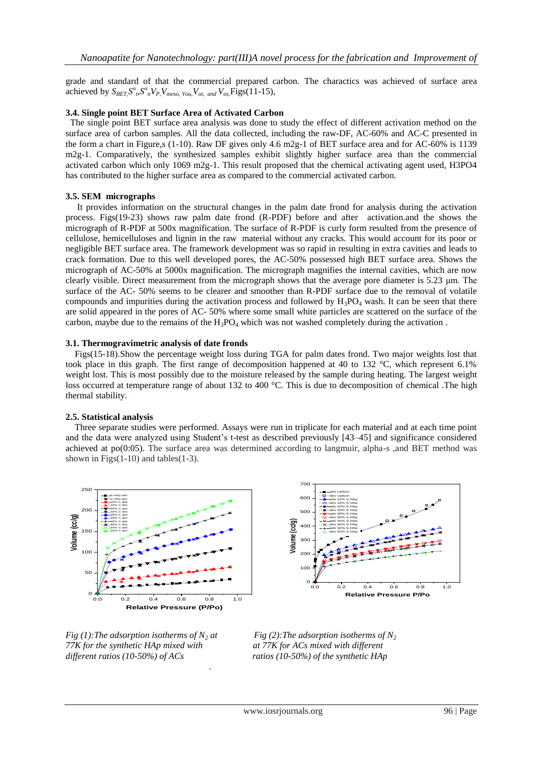grade and standard of that the commercial prepared carbon. The charactics was achieved of surface area achieved by  $S_{BET} S^a{}_b S^a{}_n V_P$ ,  $V_{meso, Vou}$ ,  $V_{ot, and} V_{os}$ , Figs(11-15),

#### **3.4. Single point BET Surface Area of Activated Carbon**

The single point BET surface area analysis was done to study the effect of different activation method on the surface area of carbon samples. All the data collected, including the raw-DF, AC-60% and AC-C presented in the form a chart in Figure,s (1-10). Raw DF gives only 4.6 m2g-1 of BET surface area and for AC-60% is 1139 m2g-1. Comparatively, the synthesized samples exhibit slightly higher surface area than the commercial activated carbon which only 1069 m2g-1. This result proposed that the chemical activating agent used, H3PO4 has contributed to the higher surface area as compared to the commercial activated carbon.

#### **3.5. SEM micrographs**

 It provides information on the structural changes in the palm date frond for analysis during the activation process. Figs(19-23) shows raw palm date frond (R-PDF) before and after activation.and the shows the micrograph of R-PDF at 500x magnification. The surface of R-PDF is curly form resulted from the presence of cellulose, hemicelluloses and lignin in the raw material without any cracks. This would account for its poor or negligible BET surface area. The framework development was so rapid in resulting in extra cavities and leads to crack formation. Due to this well developed pores, the AC-50% possessed high BET surface area. Shows the micrograph of AC-50% at 5000x magnification. The micrograph magnifies the internal cavities, which are now clearly visible. Direct measurement from the micrograph shows that the average pore diameter is 5.23 μm. The surface of the AC- 50% seems to be clearer and smoother than R-PDF surface due to the removal of volatile compounds and impurities during the activation process and followed by  $H_3PO_4$  wash. It can be seen that there are solid appeared in the pores of AC- 50% where some small white particles are scattered on the surface of the carbon, maybe due to the remains of the  $H_3PO_4$  which was not washed completely during the activation.

#### **3.1. Thermogravimetric analysis of date fronds**

 Figs(15-18).Show the percentage weight loss during TGA for palm dates frond. Two major weights lost that took place in this graph. The first range of decomposition happened at 40 to 132 °C, which represent 6.1% weight lost. This is most possibly due to the moisture released by the sample during heating. The largest weight loss occurred at temperature range of about 132 to 400 °C. This is due to decomposition of chemical .The high thermal stability.

## **2.5. Statistical analysis**

 Three separate studies were performed. Assays were run in triplicate for each material and at each time point and the data were analyzed using Student's t-test as described previously [43–45] and significance considered achieved at  $po(0:05)$ . The surface area was determined according to langmuir, alpha-s , and BET method was shown in Figs(1-10) and tables(1-3).







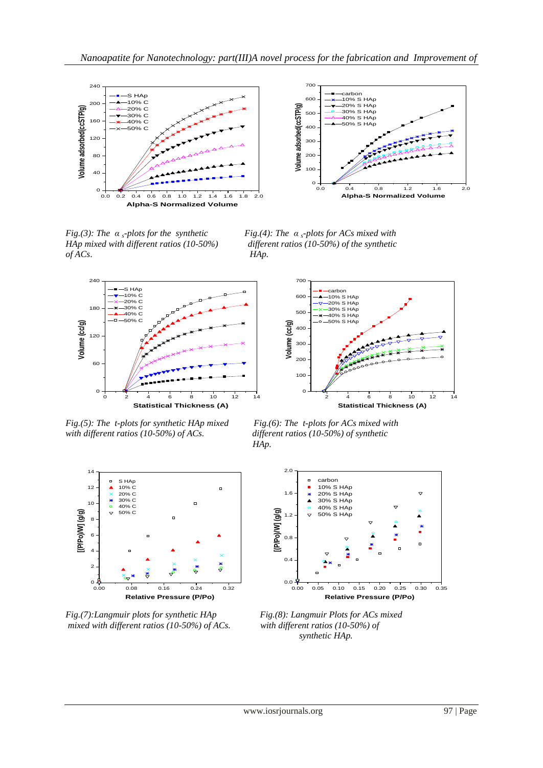



*HAp* mixed with different ratios (10-50%) *of ACs*. *HAp.*

*Fig.(3): The α <sup>s</sup>-plots for the synthetic Fig.(4): The α <sup>s</sup>-plots for ACs mixed with*



*Fig.(5): The t-plots for synthetic HAp mixed Fig.(6): The t-plots for ACs mixed with with different ratios (10-50%) of ACs. different ratios (10-50%) of synthetic* 



 *HAp.*



*Fig.(7):Langmuir plots for synthetic HAp Fig.(8): Langmuir Plots for ACs mixed mixed with different ratios (10-50%) of ACs.**with different ratios (10-50%) of*





 *synthetic HAp.*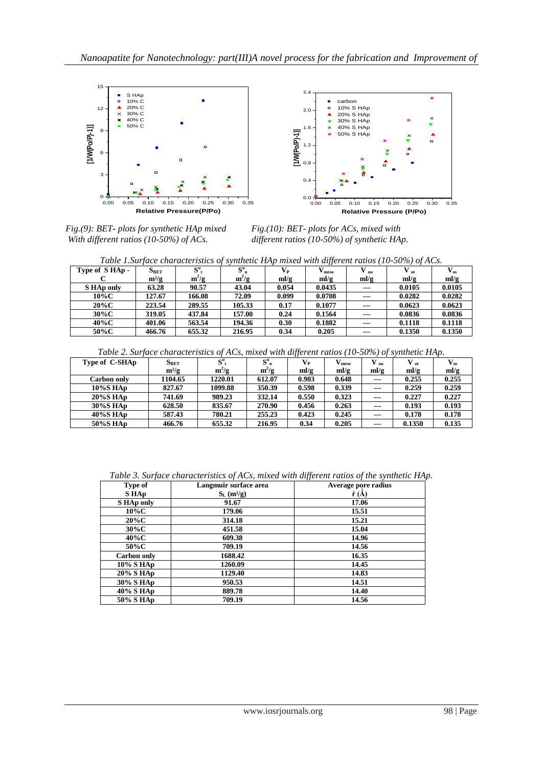

*Fig.(9): BET- plots for synthetic HAp mixed With different ratios (10-50%) of ACs.* 

Fig.(10): BET- plots for ACs, mixed with *different ratios (10-50%) of synthetic HAp.* 

| Table 1.Surface characteristics of synthetic HAp mixed with different ratios (10-50%) of ACs. |  |  |
|-----------------------------------------------------------------------------------------------|--|--|
|                                                                                               |  |  |

| .             |           |              |             |         |        |       | 1.11          |                   |
|---------------|-----------|--------------|-------------|---------|--------|-------|---------------|-------------------|
| Type of SHAp- | $S_{BET}$ | $S^{\alpha}$ | $S_{n}^{a}$ | $V_{P}$ | meso   | ้ ou  | $\bf{v}_{ot}$ | $\mathbf{V_{os}}$ |
|               | $m^2/g$   | $m^2/g$      | $m^2/g$     | ml/g    | ml/g   | ml/g  | ml/g          | ml/g              |
| S HAp only    | 63.28     | 90.57        | 43.04       | 0.054   | 0.0435 | $--$  | 0.0105        | 0.0105            |
| 10%C          | 127.67    | 166.08       | 72.09       | 0.099   | 0.0708 | $--$  | 0.0282        | 0.0282            |
| $20\%$ C      | 223.54    | 289.55       | 105.33      | 0.17    | 0.1077 | $--$  | 0.0623        | 0.0623            |
| $30\%$ C      | 319.05    | 437.84       | 157.00      | 0.24    | 0.1564 | $---$ | 0.0836        | 0.0836            |
| 40%C          | 401.06    | 563.54       | 194.36      | 0.30    | 0.1882 | $---$ | 0.1118        | 0.1118            |
| 50%C          | 466.76    | 655.32       | 216.95      | 0.34    | 0.205  | $---$ | 0.1350        | 0.1350            |

*Table 2. Surface characteristics of ACs, mixed with different ratios (10-50%) of synthetic HAp.*

| Type of C-SHAp | $S_{BET}$ | $S^{\alpha}$ | $S^{\alpha}$ <sub>n</sub> | $\mathbf{V}_{\mathbf{P}}$ | $V_{meso}$ | $_{01}$                | $\bf{V}_{ot}$ | $V_{\alpha s}$ |
|----------------|-----------|--------------|---------------------------|---------------------------|------------|------------------------|---------------|----------------|
|                | $m^2/g$   | $m^2/g$      | $m^2/g$                   | ml/g                      | ml/g       | ml/g                   | ml/g          | ml/g           |
| Carbon only    | 1104.65   | 1220.01      | 612.07                    | 0.903                     | 0.648      | $\qquad \qquad \cdots$ | 0.255         | 0.255          |
| 10%S HAp       | 827.67    | 1099.88      | 350.39                    | 0.598                     | 0.339      | $\qquad \qquad \cdots$ | 0.259         | 0.259          |
| 20%S HAp       | 741.69    | 989.23       | 332.14                    | 0.550                     | 0.323      | $\qquad \qquad \cdots$ | 0.227         | 0.227          |
| 30%S HAp       | 628.50    | 835.67       | 270.90                    | 0.456                     | 0.263      | $\qquad \qquad \cdots$ | 0.193         | 0.193          |
| 40%S HAp       | 587.43    | 780.21       | 255.23                    | 0.423                     | 0.245      | $\qquad \qquad \cdots$ | 0.178         | 0.178          |
| 50%S HAp       | 466.76    | 655.32       | 216.95                    | 0.34                      | 0.205      | $\qquad \qquad \cdots$ | 0.1350        | 0.135          |

| Type of      | Langmuir surface area     | Average pore radius      |  |  |  |
|--------------|---------------------------|--------------------------|--|--|--|
| S HAp        | $S_L$ (m <sup>2</sup> /g) | $\acute{\mathbf{r}}$ (Å) |  |  |  |
| S HAp only   | 91.67                     | 17.06                    |  |  |  |
| $10\%$ C     | 179.06                    | 15.51                    |  |  |  |
| $20\%C$      | 314.18                    | 15.21                    |  |  |  |
| $30\%C$      | 451.58                    | 15.04                    |  |  |  |
| $40\%$ C     | 609.38                    | 14.96                    |  |  |  |
| 50%C         | 709.19                    | 14.56                    |  |  |  |
| Carbon only  | 1688.42                   | 16.35                    |  |  |  |
| $10\%$ S HAp | 1260.09                   | 14.45                    |  |  |  |
| 20% S HAp    | 1129.40                   | 14.83                    |  |  |  |
| 30% S HAp    | 950.53                    | 14.51                    |  |  |  |
| 40% S HAp    | 889.78                    | 14.40                    |  |  |  |
| 50% S HAp    | 709.19                    | 14.56                    |  |  |  |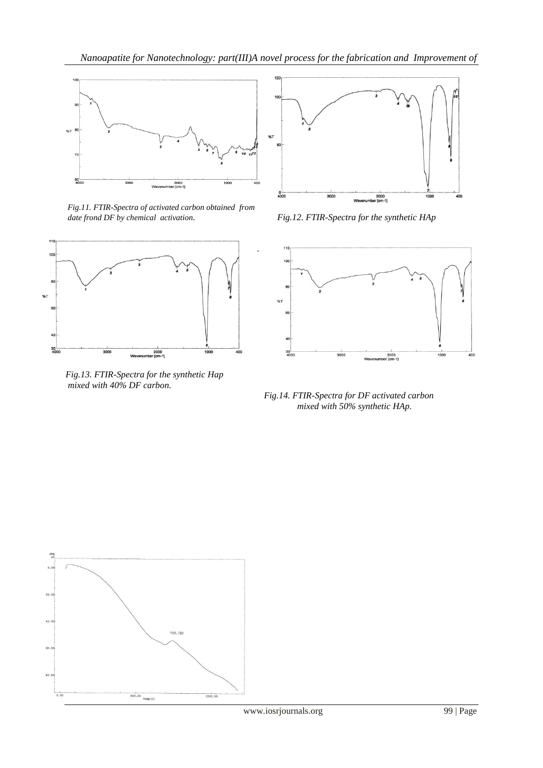

*Fig.11. FTIR-Spectra of activated carbon obtained from date frond DF by chemical activation. Fig.12. FTIR-Spectra for the synthetic HAp*



*Fig.13. FTIR-Spectra for the synthetic Hap mixed with 40% DF carbon.*





 *Fig.14. FTIR-Spectra for DF activated carbon mixed with 50% synthetic HAp.*

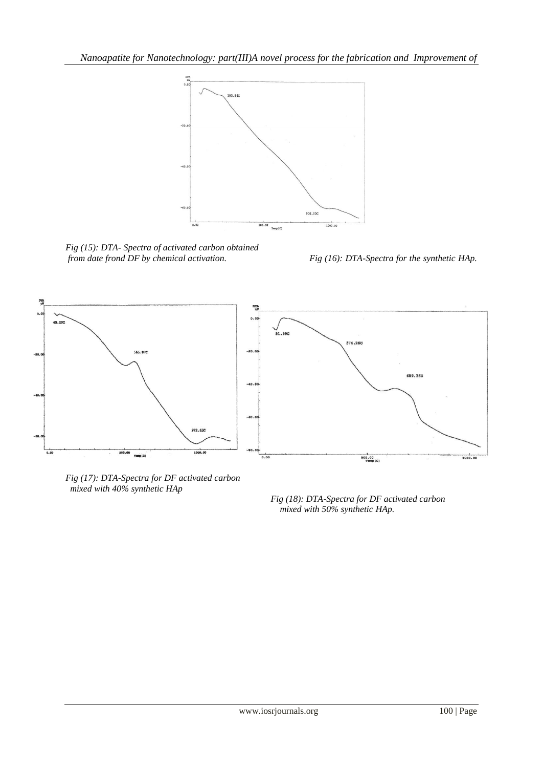

*Fig (15): DTA- Spectra of activated carbon obtained from date frond DF by chemical activation. Fig (16): DTA-Spectra for the synthetic HAp.*



*Fig (17): DTA-Spectra for DF activated carbon mixed with 40% synthetic HAp*

 *Fig (18): DTA-Spectra for DF activated carbon mixed with 50% synthetic HAp.*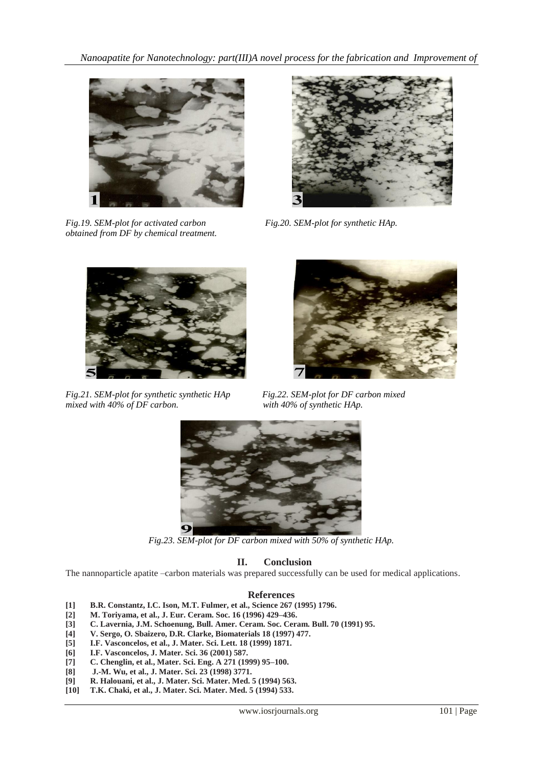*Nanoapatite for Nanotechnology: part(III)A novel process for the fabrication and Improvement of* 



*Fig.19. SEM-plot for activated carbon Fig.20. SEM-plot for synthetic HAp. obtained from DF by chemical treatment.*





*Fig.21. SEM-plot for synthetic synthetic HAp Fig.22. SEM-plot for DF carbon mixed mixed with 40% of Synthetic HAp. mixed with 40% of DF carbon.* 





*Fig.23. SEM-plot for DF carbon mixed with 50% of synthetic HAp.*

# **II. Conclusion**

The nannoparticle apatite –carbon materials was prepared successfully can be used for medical applications.

## **References**

- **[1] B.R. Constantz, I.C. Ison, M.T. Fulmer, et al., Science 267 (1995) 1796.**
- **[2] M. Toriyama, et al., J. Eur. Ceram. Soc. 16 (1996) 429–436.**
- **[3] C. Lavernia, J.M. Schoenung, Bull. Amer. Ceram. Soc. Ceram. Bull. 70 (1991) 95.**
- **[4] V. Sergo, O. Sbaizero, D.R. Clarke, Biomaterials 18 (1997) 477.**
- **[5] I.F. Vasconcelos, et al., J. Mater. Sci. Lett. 18 (1999) 1871.**
- **[6] I.F. Vasconcelos, J. Mater. Sci. 36 (2001) 587.**
- **[7] C. Chenglin, et al., Mater. Sci. Eng. A 271 (1999) 95–100.**
- **[8] J.-M. Wu, et al., J. Mater. Sci. 23 (1998) 3771.**
- **[9] R. Halouani, et al., J. Mater. Sci. Mater. Med. 5 (1994) 563.**
- **[10] T.K. Chaki, et al., J. Mater. Sci. Mater. Med. 5 (1994) 533.**